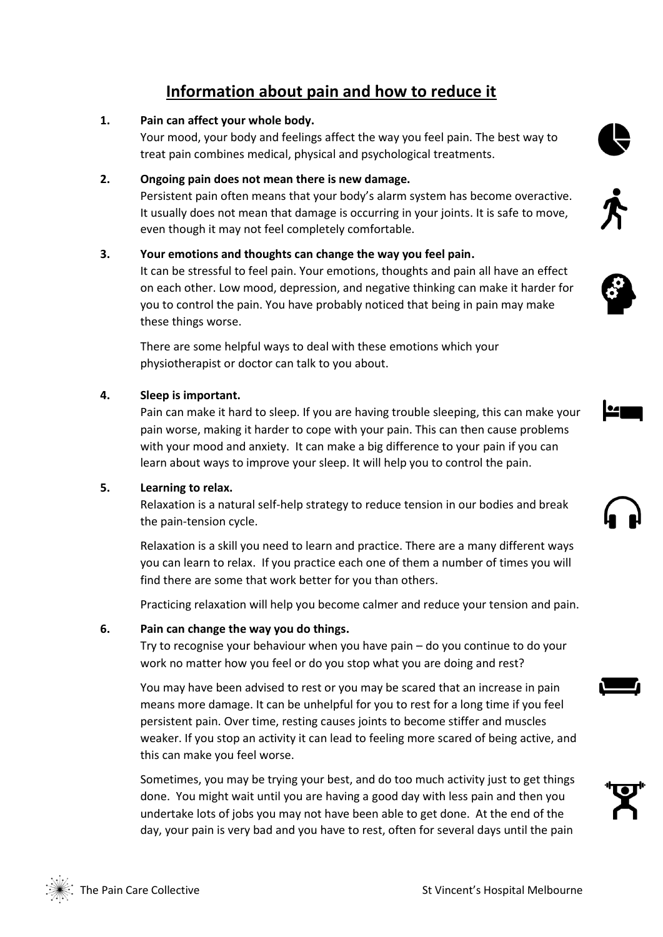# **Information about pain and how to reduce it**

#### **1. Pain can affect your whole body.**

Your mood, your body and feelings affect the way you feel pain. The best way to treat pain combines medical, physical and psychological treatments.

## **2. Ongoing pain does not mean there is new damage.**

Persistent pain often means that your body's alarm system has become overactive. It usually does not mean that damage is occurring in your joints. It is safe to move, even though it may not feel completely comfortable.

# **3. Your emotions and thoughts can change the way you feel pain.**

It can be stressful to feel pain. Your emotions, thoughts and pain all have an effect on each other. Low mood, depression, and negative thinking can make it harder for you to control the pain. You have probably noticed that being in pain may make these things worse.

There are some helpful ways to deal with these emotions which your physiotherapist or doctor can talk to you about.

## **4. Sleep is important.**

Pain can make it hard to sleep. If you are having trouble sleeping, this can make your pain worse, making it harder to cope with your pain. This can then cause problems with your mood and anxiety. It can make a big difference to your pain if you can learn about ways to improve your sleep. It will help you to control the pain.

#### **5. Learning to relax.**

Relaxation is a natural self-help strategy to reduce tension in our bodies and break the pain-tension cycle.

Relaxation is a skill you need to learn and practice. There are a many different ways you can learn to relax. If you practice each one of them a number of times you will find there are some that work better for you than others.

Practicing relaxation will help you become calmer and reduce your tension and pain.

# **6. Pain can change the way you do things.**

Try to recognise your behaviour when you have pain – do you continue to do your work no matter how you feel or do you stop what you are doing and rest?

You may have been advised to rest or you may be scared that an increase in pain means more damage. It can be unhelpful for you to rest for a long time if you feel persistent pain. Over time, resting causes joints to become stiffer and muscles weaker. If you stop an activity it can lead to feeling more scared of being active, and this can make you feel worse.

Sometimes, you may be trying your best, and do too much activity just to get things done. You might wait until you are having a good day with less pain and then you undertake lots of jobs you may not have been able to get done. At the end of the day, your pain is very bad and you have to rest, often for several days until the pain